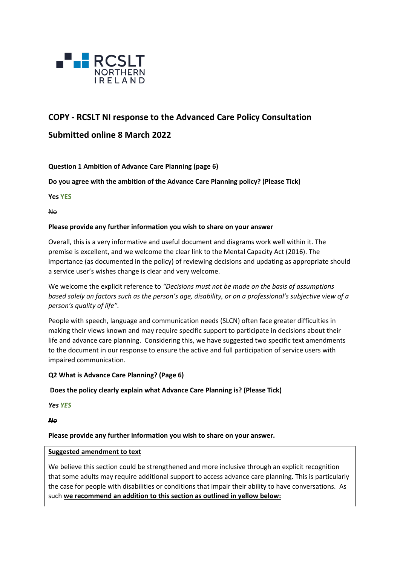

# **COPY - RCSLT NI response to the Advanced Care Policy Consultation**

# **Submitted online 8 March 2022**

## **Question 1 Ambition of Advance Care Planning (page 6)**

**Do you agree with the ambition of the Advance Care Planning policy? (Please Tick)** 

**Yes YES**

No

#### **Please provide any further information you wish to share on your answer**

Overall, this is a very informative and useful document and diagrams work well within it. The premise is excellent, and we welcome the clear link to the Mental Capacity Act (2016). The importance (as documented in the policy) of reviewing decisions and updating as appropriate should a service user's wishes change is clear and very welcome.

We welcome the explicit reference to *"Decisions must not be made on the basis of assumptions based solely on factors such as the person's age, disability, or on a professional's subjective view of a person's quality of life".* 

People with speech, language and communication needs (SLCN) often face greater difficulties in making their views known and may require specific support to participate in decisions about their life and advance care planning. Considering this, we have suggested two specific text amendments to the document in our response to ensure the active and full participation of service users with impaired communication.

#### **Q2 What is Advance Care Planning? (Page 6)**

#### **Does the policy clearly explain what Advance Care Planning is? (Please Tick)**

*Yes YES*

*No*

**Please provide any further information you wish to share on your answer.**

#### **Suggested amendment to text**

We believe this section could be strengthened and more inclusive through an explicit recognition that some adults may require additional support to access advance care planning. This is particularly the case for people with disabilities or conditions that impair their ability to have conversations. As such **we recommend an addition to this section as outlined in yellow below:**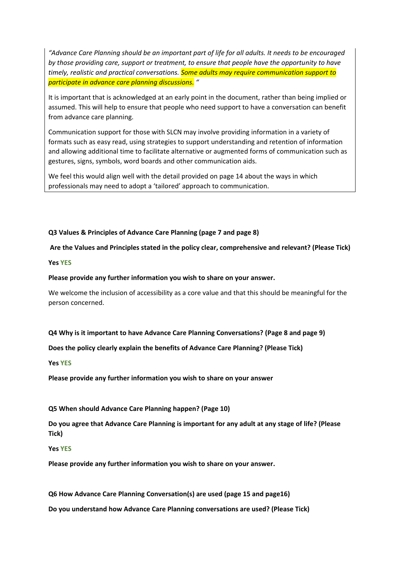*"Advance Care Planning should be an important part of life for all adults. It needs to be encouraged by those providing care, support or treatment, to ensure that people have the opportunity to have timely, realistic and practical conversations. Some adults may require communication support to participate in advance care planning discussions. "*

It is important that is acknowledged at an early point in the document, rather than being implied or assumed. This will help to ensure that people who need support to have a conversation can benefit from advance care planning.

Communication support for those with SLCN may involve providing information in a variety of formats such as easy read, using strategies to support understanding and retention of information and allowing additional time to facilitate alternative or augmented forms of communication such as gestures, signs, symbols, word boards and other communication aids.

We feel this would align well with the detail provided on page 14 about the ways in which professionals may need to adopt a 'tailored' approach to communication.

**Q3 Values & Principles of Advance Care Planning (page 7 and page 8)**

**Are the Values and Principles stated in the policy clear, comprehensive and relevant? (Please Tick)** 

**Yes YES**

#### **Please provide any further information you wish to share on your answer.**

We welcome the inclusion of accessibility as a core value and that this should be meaningful for the person concerned.

**Q4 Why is it important to have Advance Care Planning Conversations? (Page 8 and page 9)** 

**Does the policy clearly explain the benefits of Advance Care Planning? (Please Tick)** 

**Yes YES**

**Please provide any further information you wish to share on your answer**

**Q5 When should Advance Care Planning happen? (Page 10)** 

**Do you agree that Advance Care Planning is important for any adult at any stage of life? (Please Tick)** 

**Yes YES**

**Please provide any further information you wish to share on your answer.**

**Q6 How Advance Care Planning Conversation(s) are used (page 15 and page16)** 

**Do you understand how Advance Care Planning conversations are used? (Please Tick)**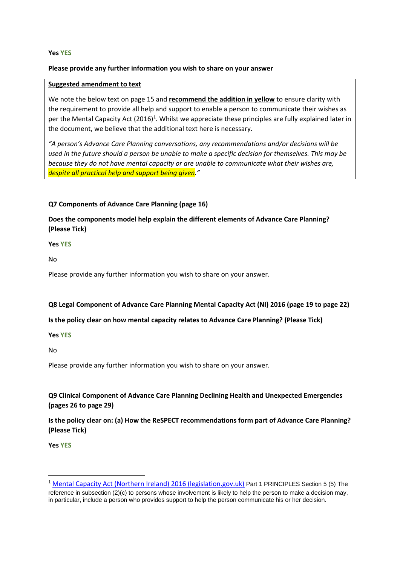#### **Yes YES**

#### **Please provide any further information you wish to share on your answer**

#### **Suggested amendment to text**

We note the below text on page 15 and **recommend the addition in yellow** to ensure clarity with the requirement to provide all help and support to enable a person to communicate their wishes as per the Mental Capacity Act (2016)<sup>1</sup>. Whilst we appreciate these principles are fully explained later in the document, we believe that the additional text here is necessary.

*"A person's Advance Care Planning conversations, any recommendations and/or decisions will be used in the future should a person be unable to make a specific decision for themselves. This may be because they do not have mental capacity or are unable to communicate what their wishes are, despite all practical help and support being given."*

#### **Q7 Components of Advance Care Planning (page 16)**

# **Does the components model help explain the different elements of Advance Care Planning? (Please Tick)**

**Yes YES**

No

Please provide any further information you wish to share on your answer.

#### **Q8 Legal Component of Advance Care Planning Mental Capacity Act (NI) 2016 (page 19 to page 22)**

#### **Is the policy clear on how mental capacity relates to Advance Care Planning? (Please Tick)**

#### **Yes YES**

No

Please provide any further information you wish to share on your answer.

# **Q9 Clinical Component of Advance Care Planning Declining Health and Unexpected Emergencies (pages 26 to page 29)**

**Is the policy clear on: (a) How the ReSPECT recommendations form part of Advance Care Planning? (Please Tick)** 

**Yes YES**

<sup>1</sup> Mental Capacity Act (Northern [Ireland\) 2016 \(legislation.gov.uk\)](https://www.legislation.gov.uk/nia/2016/18/part/1/enacted) Part 1 PRINCIPLES Section 5 (5) The reference in subsection (2)(c) to persons whose involvement is likely to help the person to make a decision may, in particular, include a person who provides support to help the person communicate his or her decision.